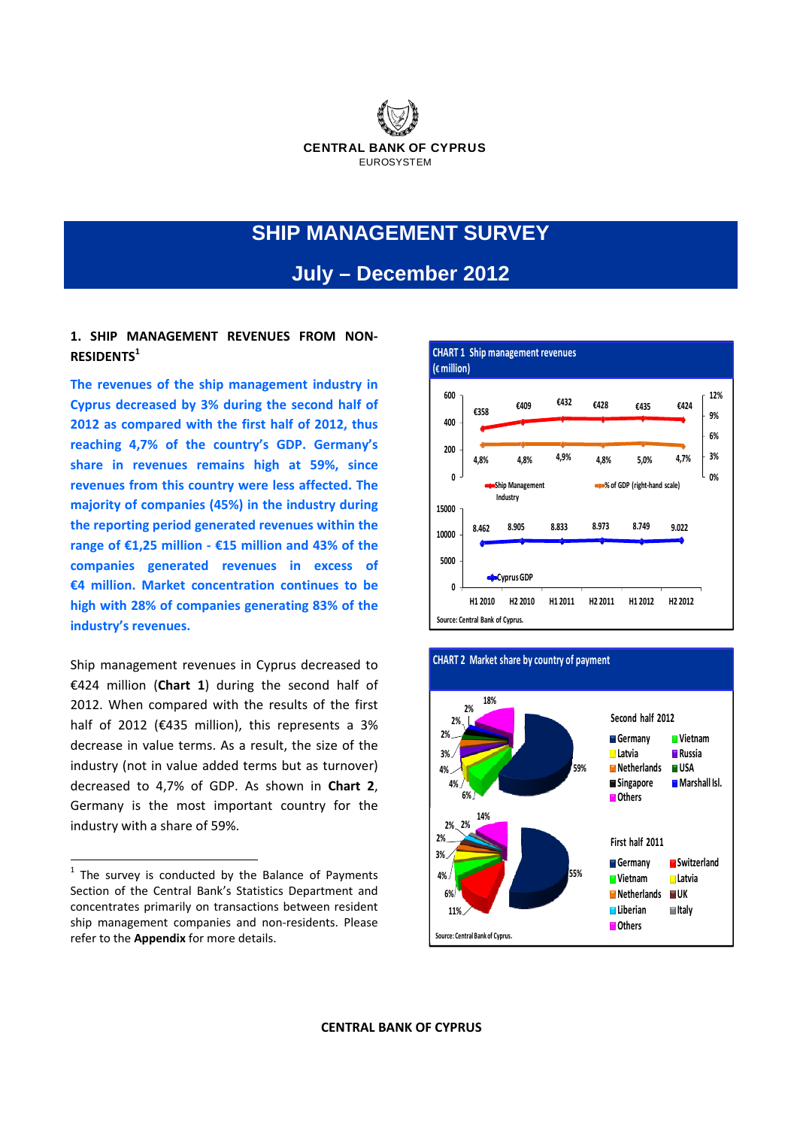

# **SHIP MANAGEMENT SURVEY**

## **July – December 2012**

## **1. SHIP MANAGEMENT REVENUES FROM NON‐ RESIDENTS1**

**The revenues of the ship management industry in Cyprus decreased by 3% during the second half of 2012 as compared with the first half of 2012, thus reaching 4,7% of the country's GDP. Germany's share in revenues remains high at 59%, since revenues from this country were less affected. The majority of companies (45%) in the industry during the reporting period generated revenues within the range of €1,25 million ‐ €15 million and 43% of the companies generated revenues in excess of €4 million. Market concentration continues to be high with 28% of companies generating 83% of the industry's revenues.** 

Ship management revenues in Cyprus decreased to €424 million (**Chart 1**) during the second half of 2012. When compared with the results of the first half of 2012 (€435 million), this represents a 3% decrease in value terms. As a result, the size of the industry (not in value added terms but as turnover) decreased to 4,7% of GDP. As shown in **Chart 2**, Germany is the most important country for the industry with a share of 59%.





#### **CHART 2 Market share by country of payment**

 $1$  The survey is conducted by the Balance of Payments Section of the Central Bank's Statistics Department and concentrates primarily on transactions between resident ship management companies and non-residents. Please refer to the **Appendix** for more details.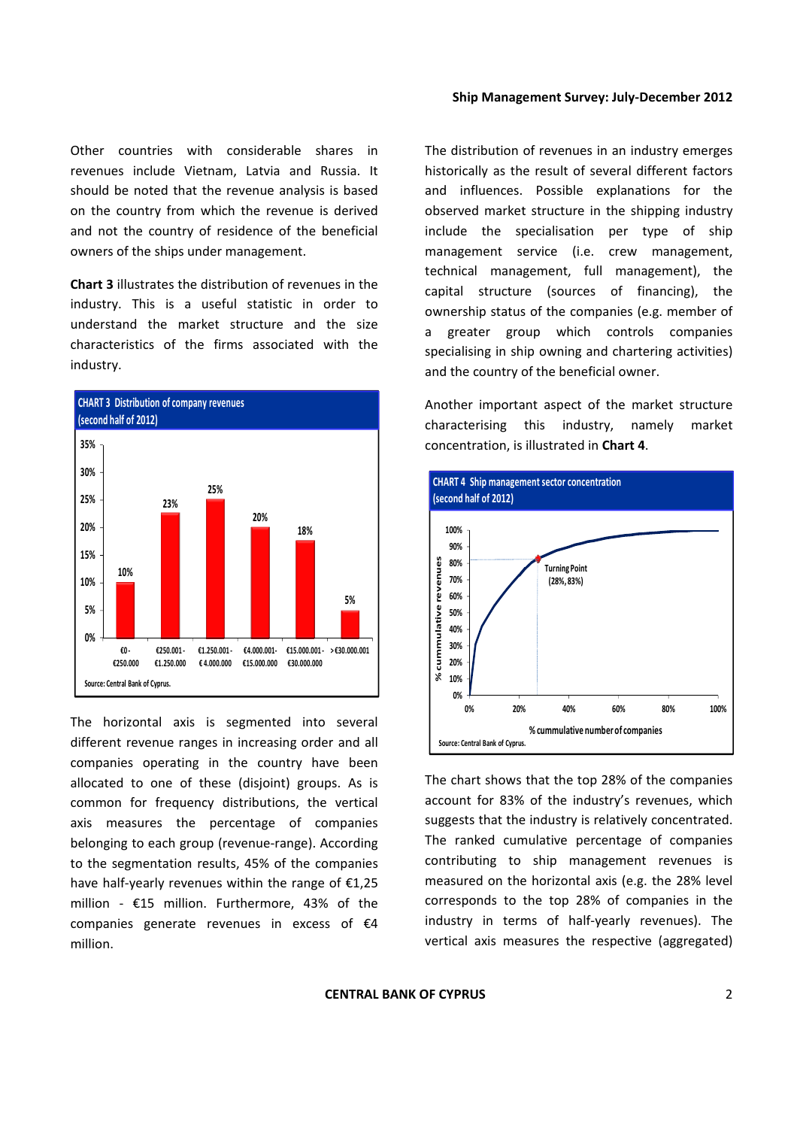Other countries with considerable shares in revenues include Vietnam, Latvia and Russia. It should be noted that the revenue analysis is based on the country from which the revenue is derived and not the country of residence of the beneficial owners of the ships under management.

**Chart 3** illustrates the distribution of revenues in the industry. This is a useful statistic in order to understand the market structure and the size characteristics of the firms associated with the industry.



The horizontal axis is segmented into several different revenue ranges in increasing order and all companies operating in the country have been allocated to one of these (disjoint) groups. As is common for frequency distributions, the vertical axis measures the percentage of companies belonging to each group (revenue‐range). According to the segmentation results, 45% of the companies have half‐yearly revenues within the range of €1,25 million -  $£15$  million. Furthermore, 43% of the companies generate revenues in excess of €4 million.

The distribution of revenues in an industry emerges historically as the result of several different factors and influences. Possible explanations for the observed market structure in the shipping industry include the specialisation per type of ship management service (i.e. crew management, technical management, full management), the capital structure (sources of financing), the ownership status of the companies (e.g. member of a greater group which controls companies specialising in ship owning and chartering activities) and the country of the beneficial owner.

Another important aspect of the market structure characterising this industry, namely market concentration, is illustrated in **Chart 4**.



The chart shows that the top 28% of the companies account for 83% of the industry's revenues, which suggests that the industry is relatively concentrated. The ranked cumulative percentage of companies contributing to ship management revenues is measured on the horizontal axis (e.g. the 28% level corresponds to the top 28% of companies in the industry in terms of half‐yearly revenues). The vertical axis measures the respective (aggregated)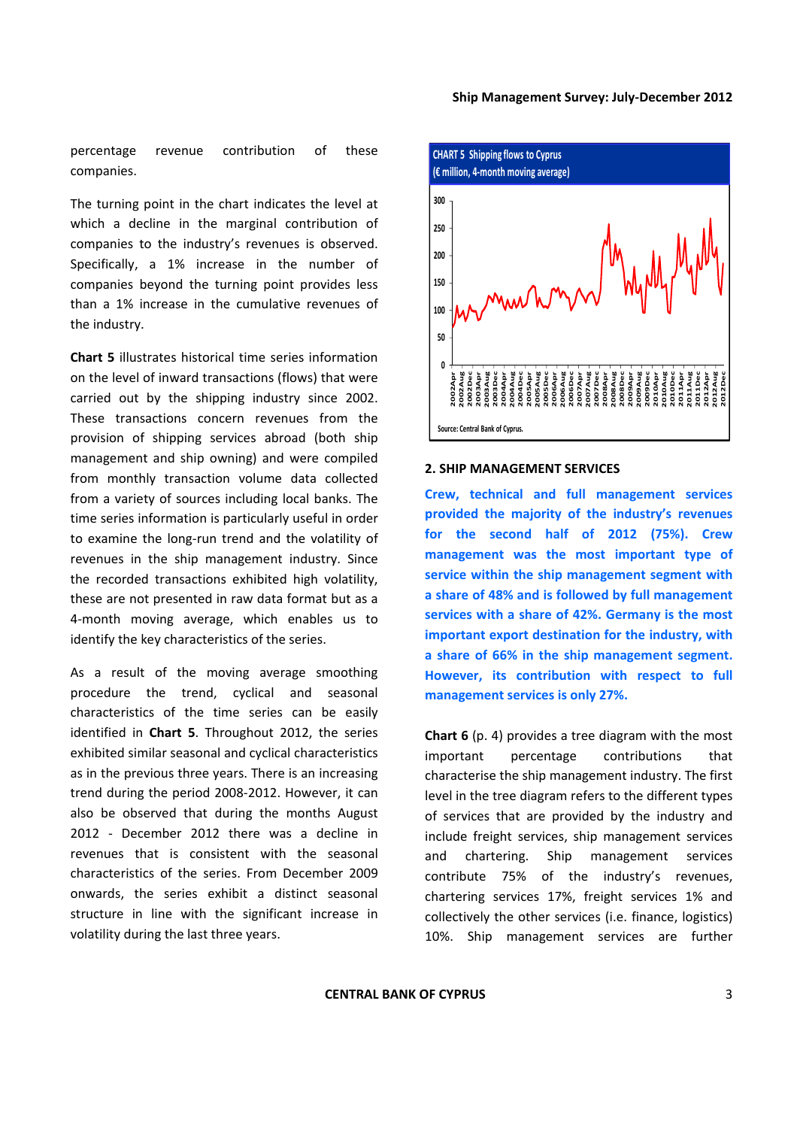percentage revenue contribution of these companies.

The turning point in the chart indicates the level at which a decline in the marginal contribution of companies to the industry's revenues is observed. Specifically, a 1% increase in the number of companies beyond the turning point provides less than a 1% increase in the cumulative revenues of the industry.

**Chart 5** illustrates historical time series information on the level of inward transactions (flows) that were carried out by the shipping industry since 2002. These transactions concern revenues from the provision of shipping services abroad (both ship management and ship owning) and were compiled from monthly transaction volume data collected from a variety of sources including local banks. The time series information is particularly useful in order to examine the long‐run trend and the volatility of revenues in the ship management industry. Since the recorded transactions exhibited high volatility, these are not presented in raw data format but as a 4‐month moving average, which enables us to identify the key characteristics of the series.

As a result of the moving average smoothing procedure the trend, cyclical and seasonal characteristics of the time series can be easily identified in **Chart 5**. Throughout 2012, the series exhibited similar seasonal and cyclical characteristics as in the previous three years. There is an increasing trend during the period 2008‐2012. However, it can also be observed that during the months August 2012 - December 2012 there was a decline in revenues that is consistent with the seasonal characteristics of the series. From December 2009 onwards, the series exhibit a distinct seasonal structure in line with the significant increase in volatility during the last three years.



#### **2. SHIP MANAGEMENT SERVICES**

**Crew, technical and full management services provided the majority of the industry's revenues for the second half of 2012 (75%). Crew management was the most important type of service within the ship management segment with a share of 48% and is followed by full management services with a share of 42%. Germany is the most important export destination for the industry, with a share of 66% in the ship management segment. However, its contribution with respect to full management services is only 27%.**

**Chart 6** (p. 4) provides a tree diagram with the most important percentage contributions that characterise the ship management industry. The first level in the tree diagram refers to the different types of services that are provided by the industry and include freight services, ship management services and chartering. Ship management services contribute 75% of the industry's revenues, chartering services 17%, freight services 1% and collectively the other services (i.e. finance, logistics) 10%. Ship management services are further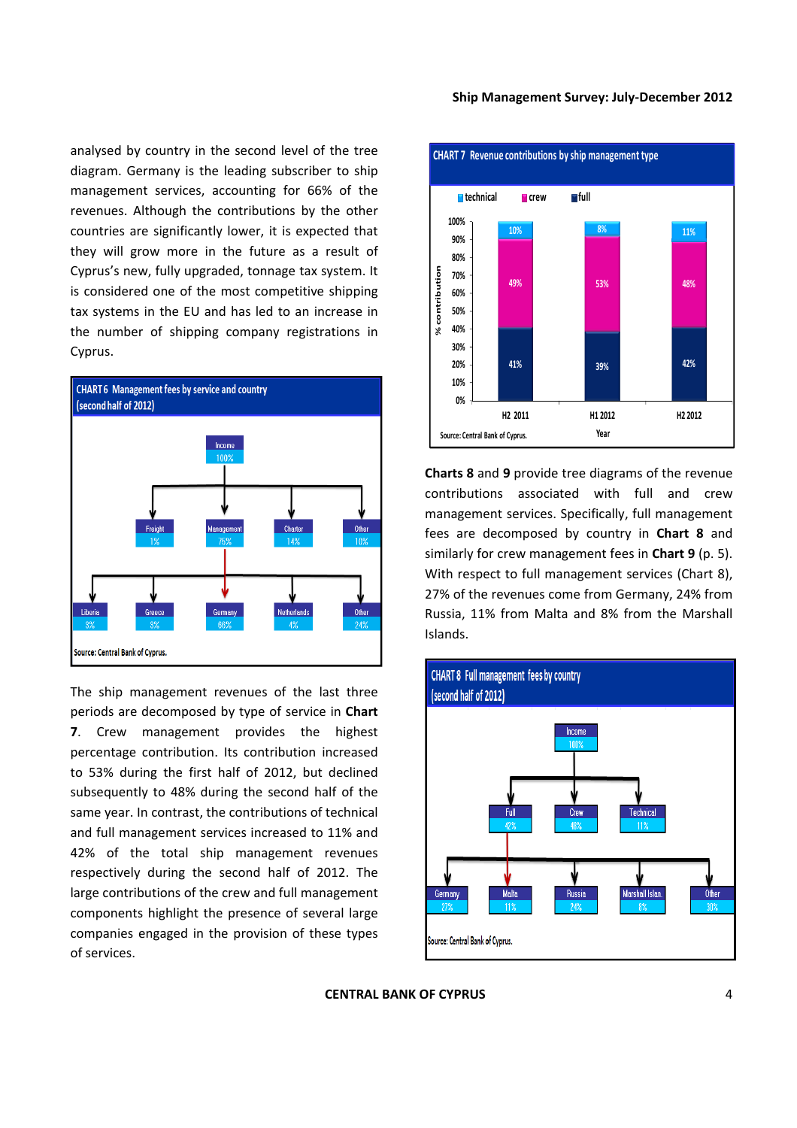analysed by country in the second level of the tree diagram. Germany is the leading subscriber to ship management services, accounting for 66% of the revenues. Although the contributions by the other countries are significantly lower, it is expected that they will grow more in the future as a result of Cyprus's new, fully upgraded, tonnage tax system. It is considered one of the most competitive shipping tax systems in the EU and has led to an increase in the number of shipping company registrations in Cyprus.



The ship management revenues of the last three periods are decomposed by type of service in **Chart 7**. Crew management provides the highest percentage contribution. Its contribution increased to 53% during the first half of 2012, but declined subsequently to 48% during the second half of the same year. In contrast, the contributions of technical and full management services increased to 11% and 42% of the total ship management revenues respectively during the second half of 2012. The large contributions of the crew and full management components highlight the presence of several large companies engaged in the provision of these types of services.



**Charts 8** and **9** provide tree diagrams of the revenue contributions associated with full and crew management services. Specifically, full management fees are decomposed by country in **Chart 8** and similarly for crew management fees in **Chart 9** (p. 5). With respect to full management services (Chart 8), 27% of the revenues come from Germany, 24% from Russia, 11% from Malta and 8% from the Marshall Islands.

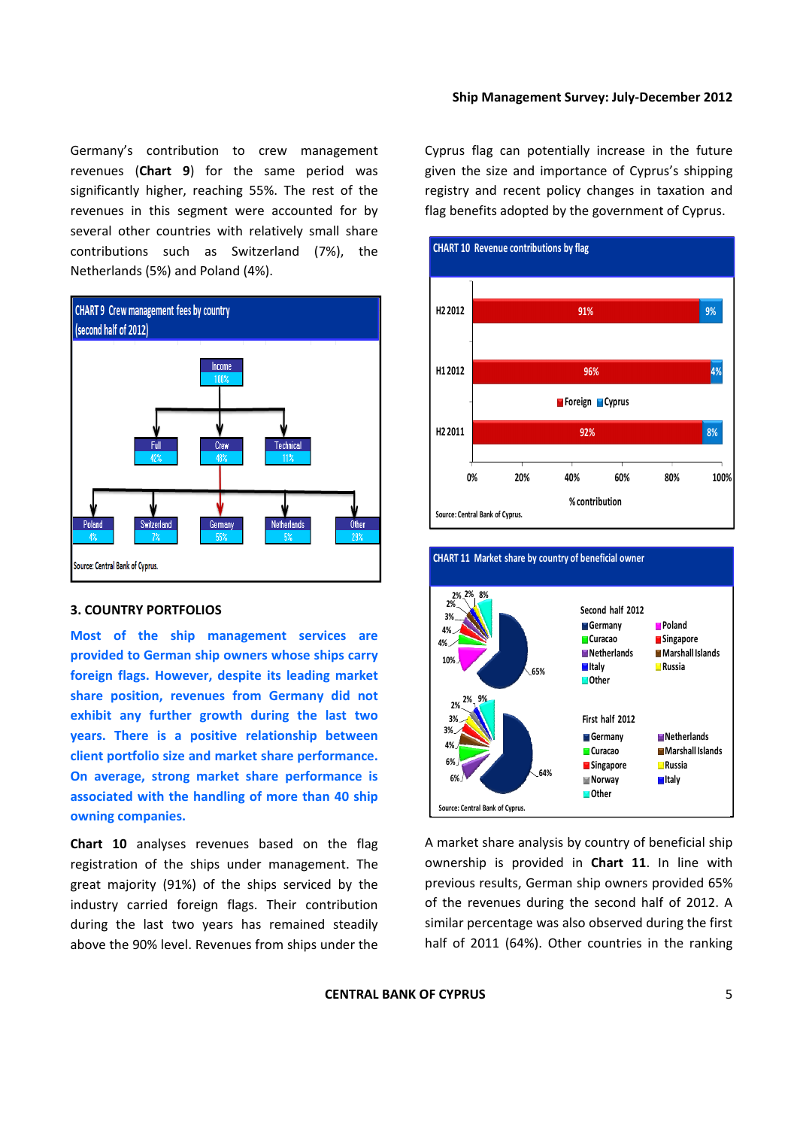Germany's contribution to crew management revenues (**Chart 9**) for the same period was significantly higher, reaching 55%. The rest of the revenues in this segment were accounted for by several other countries with relatively small share contributions such as Switzerland (7%), the Netherlands (5%) and Poland (4%).



#### **3. COUNTRY PORTFOLIOS**

**Most of the ship management services are provided to German ship owners whose ships carry foreign flags. However, despite its leading market share position, revenues from Germany did not exhibit any further growth during the last two years. There is a positive relationship between client portfolio size and market share performance. On average, strong market share performance is associated with the handling of more than 40 ship owning companies.**

**Chart 10** analyses revenues based on the flag registration of the ships under management. The great majority (91%) of the ships serviced by the industry carried foreign flags. Their contribution during the last two years has remained steadily above the 90% level. Revenues from ships under the Cyprus flag can potentially increase in the future given the size and importance of Cyprus's shipping registry and recent policy changes in taxation and flag benefits adopted by the government of Cyprus.





## A market share analysis by country of beneficial ship ownership is provided in **Chart 11**. In line with previous results, German ship owners provided 65% of the revenues during the second half of 2012. A similar percentage was also observed during the first half of 2011 (64%). Other countries in the ranking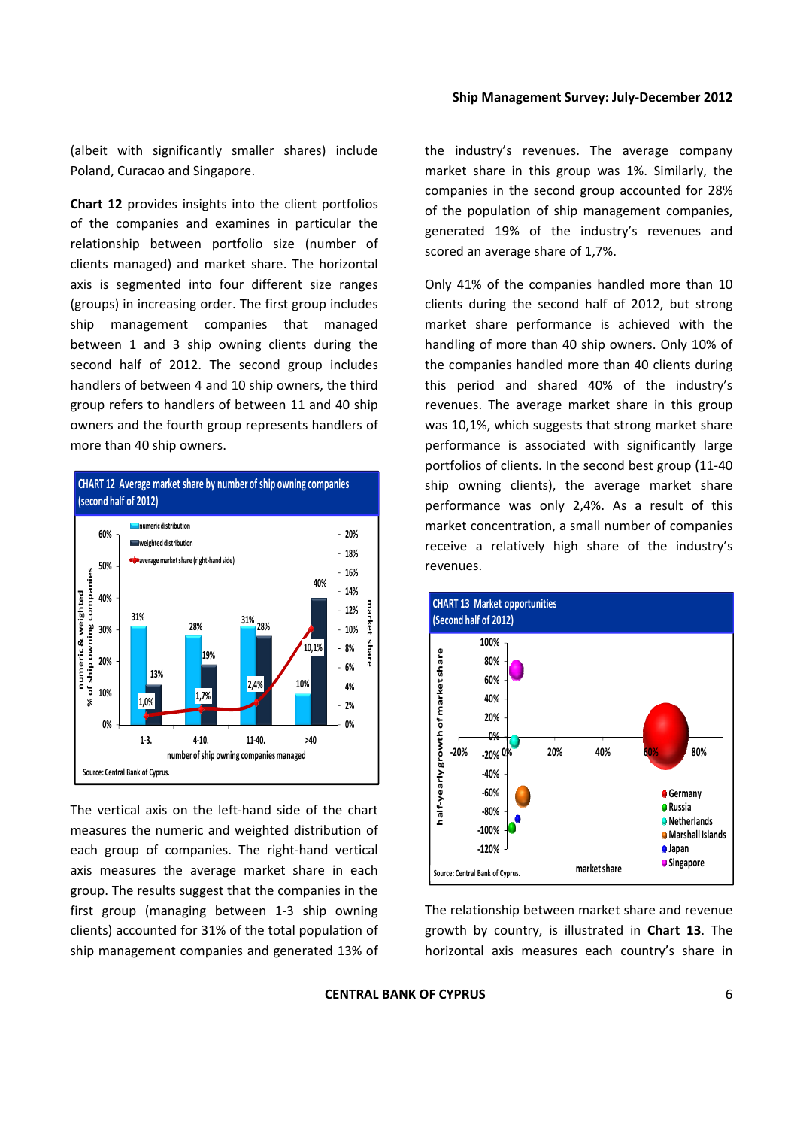(albeit with significantly smaller shares) include Poland, Curacao and Singapore.

**Chart 12** provides insights into the client portfolios of the companies and examines in particular the relationship between portfolio size (number of clients managed) and market share. The horizontal axis is segmented into four different size ranges (groups) in increasing order. The first group includes ship management companies that managed between 1 and 3 ship owning clients during the second half of 2012. The second group includes handlers of between 4 and 10 ship owners, the third group refers to handlers of between 11 and 40 ship owners and the fourth group represents handlers of more than 40 ship owners.



The vertical axis on the left‐hand side of the chart measures the numeric and weighted distribution of each group of companies. The right-hand vertical axis measures the average market share in each group. The results suggest that the companies in the first group (managing between 1‐3 ship owning clients) accounted for 31% of the total population of ship management companies and generated 13% of the industry's revenues. The average company market share in this group was 1%. Similarly, the companies in the second group accounted for 28% of the population of ship management companies, generated 19% of the industry's revenues and scored an average share of 1,7%.

Only 41% of the companies handled more than 10 clients during the second half of 2012, but strong market share performance is achieved with the handling of more than 40 ship owners. Only 10% of the companies handled more than 40 clients during this period and shared 40% of the industry's revenues. The average market share in this group was 10,1%, which suggests that strong market share performance is associated with significantly large portfolios of clients. In the second best group (11‐40 ship owning clients), the average market share performance was only 2,4%. As a result of this market concentration, a small number of companies receive a relatively high share of the industry's revenues.



The relationship between market share and revenue growth by country, is illustrated in **Chart 13**. The horizontal axis measures each country's share in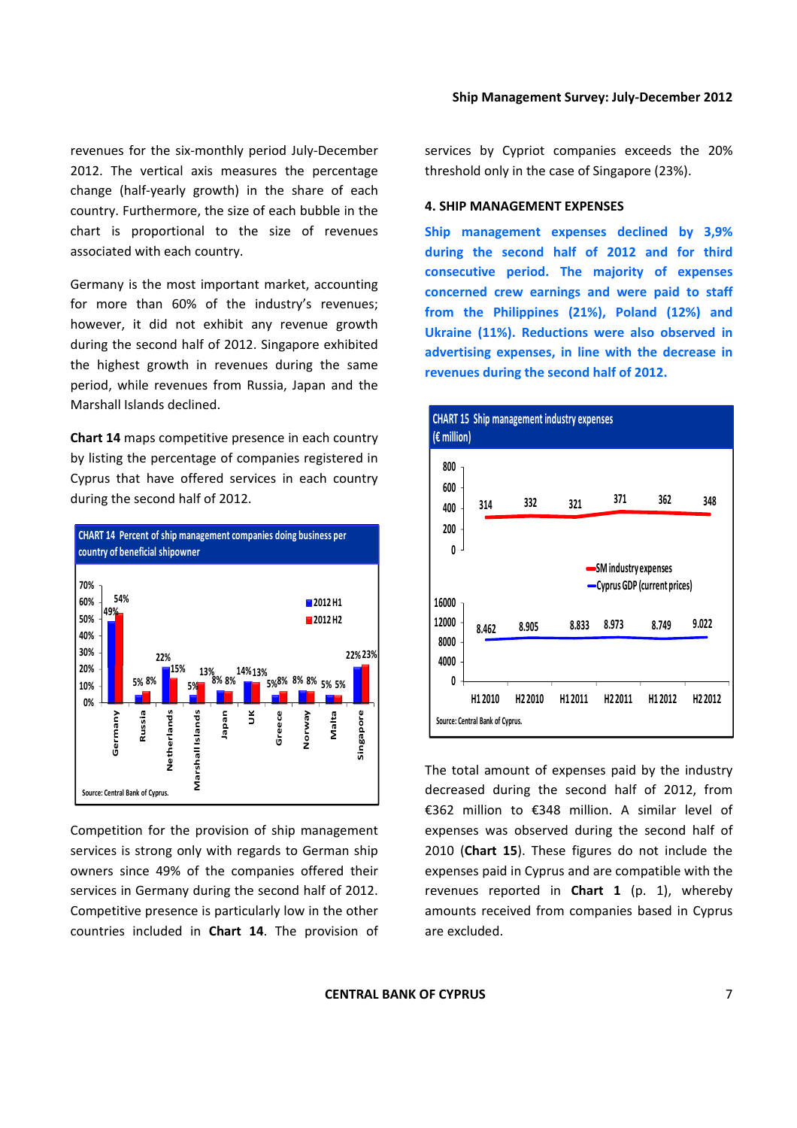revenues for the six‐monthly period July‐December 2012. The vertical axis measures the percentage change (half‐yearly growth) in the share of each country. Furthermore, the size of each bubble in the chart is proportional to the size of revenues associated with each country.

Germany is the most important market, accounting for more than 60% of the industry's revenues; however, it did not exhibit any revenue growth during the second half of 2012. Singapore exhibited the highest growth in revenues during the same period, while revenues from Russia, Japan and the Marshall Islands declined.

**Chart 14** maps competitive presence in each country by listing the percentage of companies registered in Cyprus that have offered services in each country during the second half of 2012.



Competition for the provision of ship management services is strong only with regards to German ship owners since 49% of the companies offered their services in Germany during the second half of 2012. Competitive presence is particularly low in the other countries included in **Chart 14**. The provision of services by Cypriot companies exceeds the 20% threshold only in the case of Singapore (23%).

#### **4. SHIP MANAGEMENT EXPENSES**

**Ship management expenses declined by 3,9% during the second half of 2012 and for third consecutive period. The majority of expenses concerned crew earnings and were paid to staff from the Philippines (21%), Poland (12%) and Ukraine (11%). Reductions were also observed in advertising expenses, in line with the decrease in revenues during the second half of 2012.** 



The total amount of expenses paid by the industry decreased during the second half of 2012, from €362 million to €348 million. A similar level of expenses was observed during the second half of 2010 (**Chart 15**). These figures do not include the expenses paid in Cyprus and are compatible with the revenues reported in **Chart 1** (p. 1), whereby amounts received from companies based in Cyprus are excluded.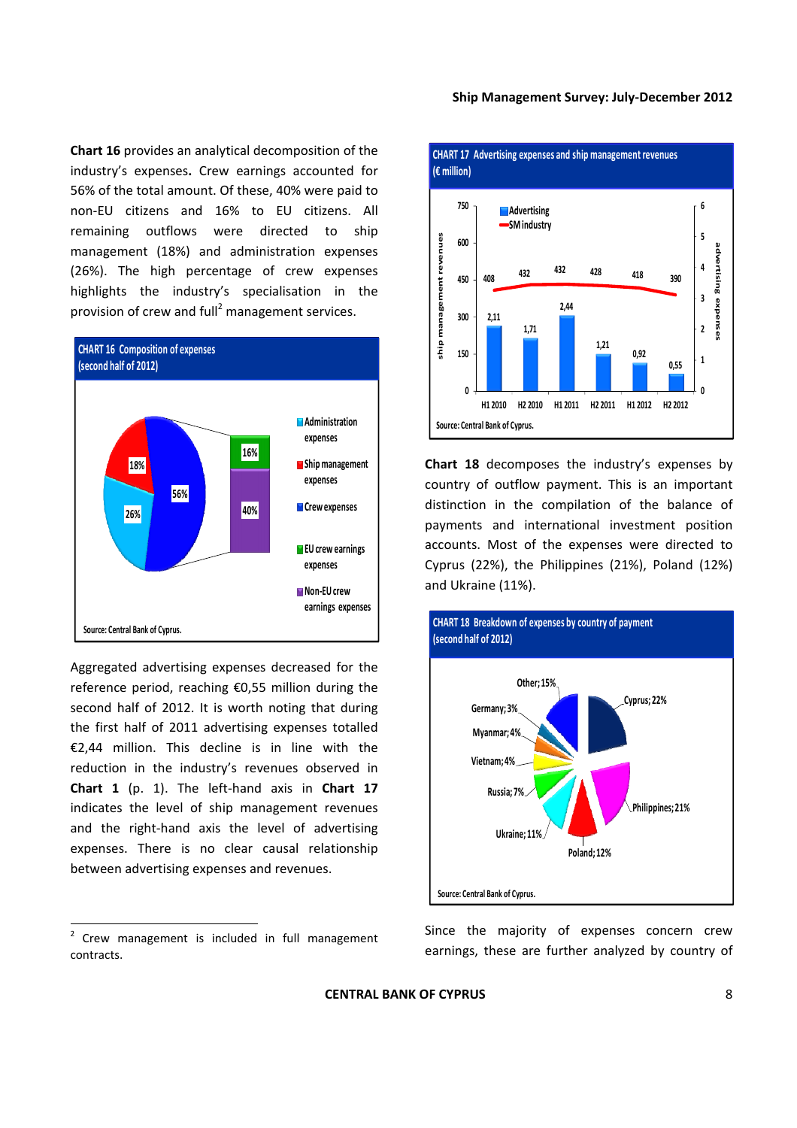**Chart 16** provides an analytical decomposition of the industry's expenses**.** Crew earnings accounted for 56% of the total amount. Of these, 40% were paid to non‐EU citizens and 16% to EU citizens. All remaining outflows were directed to ship management (18%) and administration expenses (26%). The high percentage of crew expenses highlights the industry's specialisation in the provision of crew and full<sup>2</sup> management services.



Aggregated advertising expenses decreased for the reference period, reaching €0,55 million during the second half of 2012. It is worth noting that during the first half of 2011 advertising expenses totalled €2,44 million. This decline is in line with the reduction in the industry's revenues observed in **Chart 1** (p. 1). The left‐hand axis in **Chart 17** indicates the level of ship management revenues and the right‐hand axis the level of advertising expenses. There is no clear causal relationship between advertising expenses and revenues.



**Chart 18** decomposes the industry's expenses by country of outflow payment. This is an important distinction in the compilation of the balance of payments and international investment position accounts. Most of the expenses were directed to Cyprus (22%), the Philippines (21%), Poland (12%) and Ukraine (11%).



Since the majority of expenses concern crew earnings, these are further analyzed by country of

<sup>&</sup>lt;sup>2</sup> Crew management is included in full management contracts.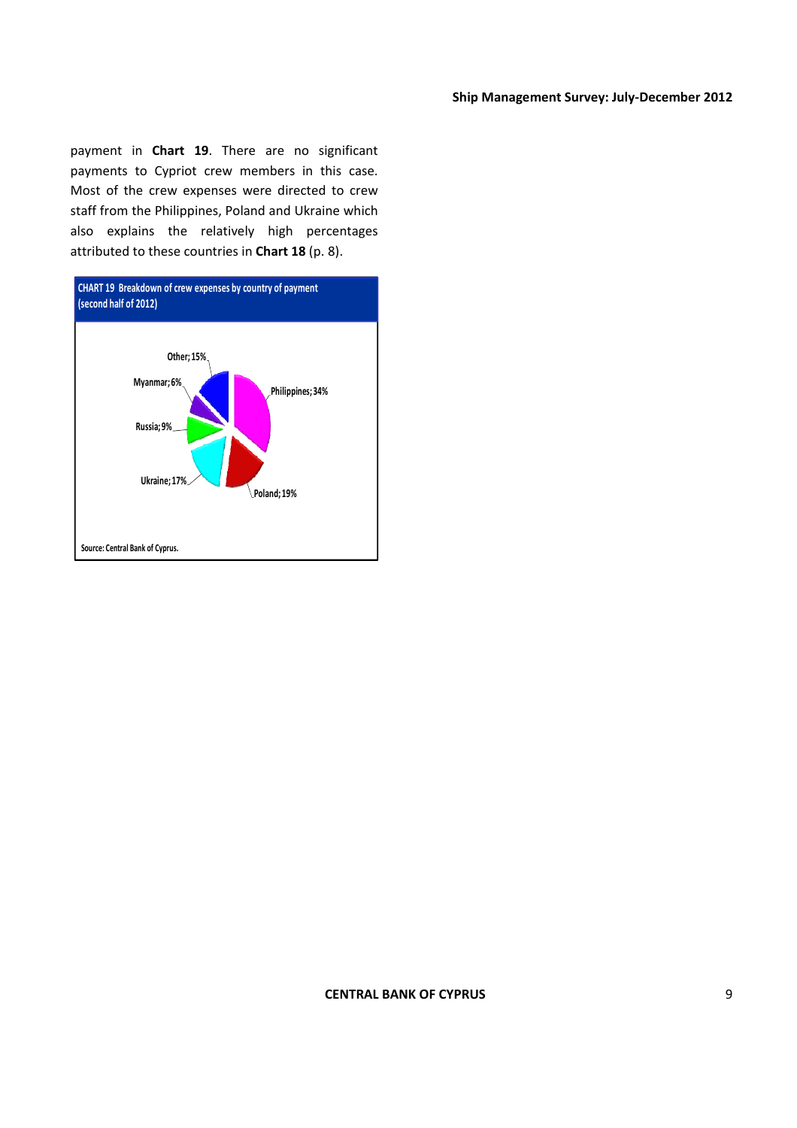payment in **Chart 19**. There are no significant payments to Cypriot crew members in this case. Most of the crew expenses were directed to crew staff from the Philippines, Poland and Ukraine which also explains the relatively high percentages attributed to these countries in **Chart 18** (p. 8).